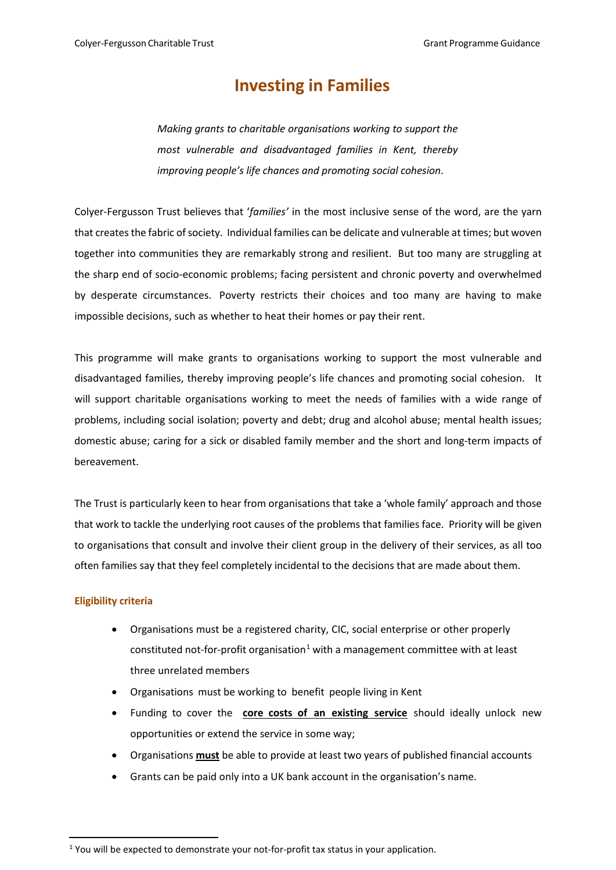# **Investing in Families**

*Making grants to charitable organisations working to support the most vulnerable and disadvantaged families in Kent, thereby improving people's life chances and promoting social cohesion*.

Colyer-Fergusson Trust believes that '*families'* in the most inclusive sense of the word, are the yarn that createsthe fabric of society. Individual families can be delicate and vulnerable at times; but woven together into communities they are remarkably strong and resilient. But too many are struggling at the sharp end of socio-economic problems; facing persistent and chronic poverty and overwhelmed by desperate circumstances. Poverty restricts their choices and too many are having to make impossible decisions, such as whether to heat their homes or pay their rent.

This programme will make grants to organisations working to support the most vulnerable and disadvantaged families, thereby improving people's life chances and promoting social cohesion. It will support charitable organisations working to meet the needs of families with a wide range of problems, including social isolation; poverty and debt; drug and alcohol abuse; mental health issues; domestic abuse; caring for a sick or disabled family member and the short and long-term impacts of bereavement.

The Trust is particularly keen to hear from organisations that take a 'whole family' approach and those that work to tackle the underlying root causes of the problems that families face. Priority will be given to organisations that consult and involve their client group in the delivery of their services, as all too often families say that they feel completely incidental to the decisions that are made about them.

# **Eligibility criteria**

- Organisations must be a registered charity, CIC, social enterprise or other properly constituted not-for-profit organisation<sup>[1](#page-0-0)</sup> with a management committee with at least three unrelated members
- Organisations must be working to benefit people living in Kent
- Funding to cover the **core costs of an existing service** should ideally unlock new opportunities or extend the service in some way;
- Organisations **must** be able to provide at least two years of published financial accounts
- Grants can be paid only into a UK bank account in the organisation's name.

<span id="page-0-0"></span> $<sup>1</sup>$  You will be expected to demonstrate your not-for-profit tax status in your application.</sup>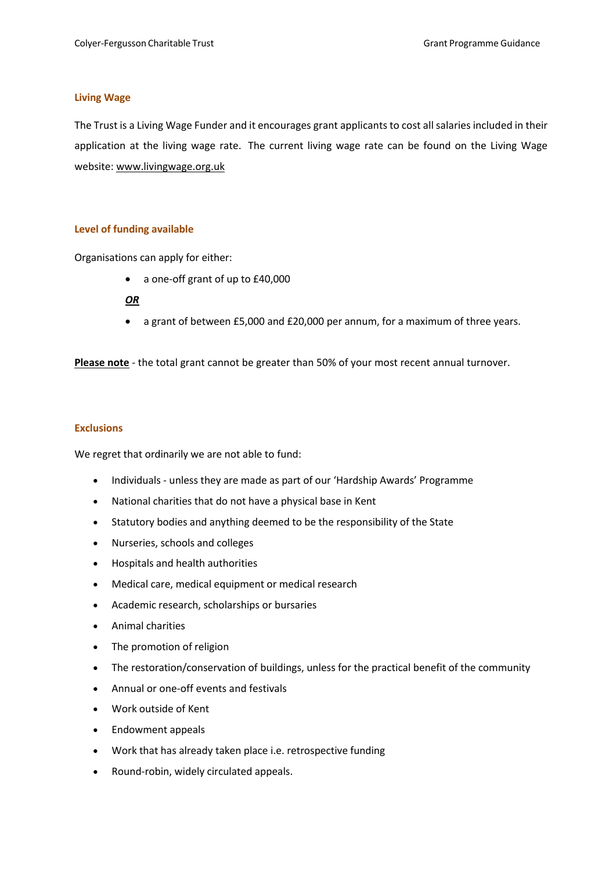## **Living Wage**

The Trust is a Living Wage Funder and it encourages grant applicants to cost all salaries included in their application at the living wage rate. The current living wage rate can be found [on](https://www.livingwage.org.uk/what-real-living-wage) the Living Wage website: www.livingwage.org.uk

# **Level of funding available**

Organisations can apply for either:

• a one-off grant of up to £40,000

## *OR*

• a grant of between £5,000 and £20,000 per annum, for a maximum of three years.

**Please note** - the total grant cannot be greater than 50% of your most recent annual turnover.

## **Exclusions**

We regret that ordinarily we are not able to fund:

- Individuals unless they are made as part of our 'Hardship Awards' Programme
- National charities that do not have a physical base in Kent
- Statutory bodies and anything deemed to be the responsibility of the State
- Nurseries, schools and colleges
- Hospitals and health authorities
- Medical care, medical equipment or medical research
- Academic research, scholarships or bursaries
- Animal charities
- The promotion of religion
- The restoration/conservation of buildings, unless for the practical benefit of the community
- Annual or one-off events and festivals
- Work outside of Kent
- Endowment appeals
- Work that has already taken place i.e. retrospective funding
- Round-robin, widely circulated appeals.